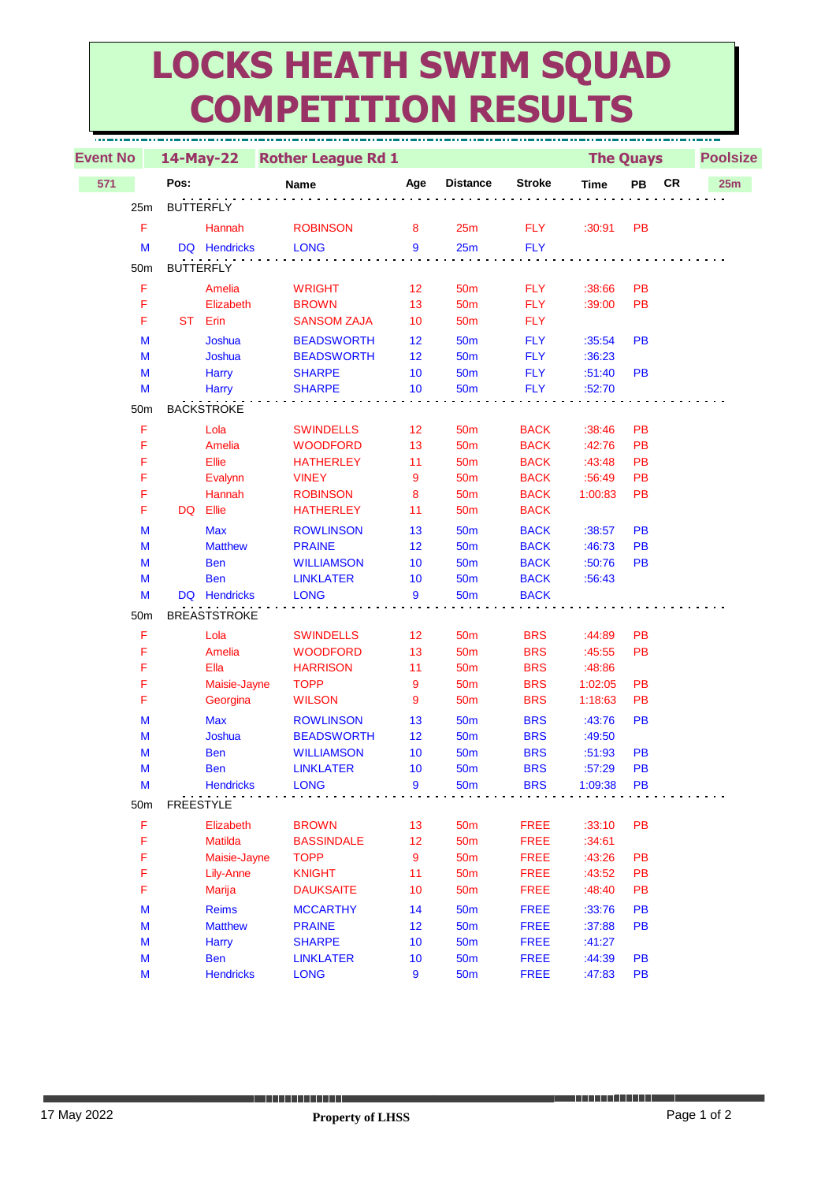## **LOCKS HEATH SWIM SQUAD COMPETITION RESULTS**

| <b>Event No</b> |                                                                                       | 14-May-22           | <b>Rother League Rd 1</b> |     |                 |               | <b>The Quays</b> |           |    | <b>Poolsize</b> |  |
|-----------------|---------------------------------------------------------------------------------------|---------------------|---------------------------|-----|-----------------|---------------|------------------|-----------|----|-----------------|--|
| 571             |                                                                                       | Pos:                | Name                      | Age | <b>Distance</b> | <b>Stroke</b> | <b>Time</b>      | PB        | CR | 25m             |  |
|                 | 25m                                                                                   | <b>BUTTERFLY</b>    |                           |     |                 |               |                  |           |    |                 |  |
|                 | F                                                                                     | Hannah              | <b>ROBINSON</b>           | 8   | 25m             | <b>FLY</b>    | :30:91           | <b>PB</b> |    |                 |  |
|                 | M                                                                                     | DQ Hendricks        | <b>LONG</b>               | 9   | 25m             | <b>FLY</b>    |                  |           |    |                 |  |
|                 |                                                                                       |                     |                           |     |                 |               |                  |           |    |                 |  |
|                 | 50 <sub>m</sub>                                                                       | <b>BUTTERFLY</b>    |                           |     |                 |               |                  |           |    |                 |  |
|                 | F                                                                                     | Amelia              | <b>WRIGHT</b>             | 12  | 50 <sub>m</sub> | <b>FLY</b>    | :38:66           | PB        |    |                 |  |
|                 | F                                                                                     | Elizabeth           | <b>BROWN</b>              | 13  | 50 <sub>m</sub> | <b>FLY</b>    | :39:00           | PB        |    |                 |  |
|                 | F                                                                                     | ST Erin             | <b>SANSOM ZAJA</b>        | 10  | 50 <sub>m</sub> | <b>FLY</b>    |                  |           |    |                 |  |
|                 | M                                                                                     | Joshua              | <b>BEADSWORTH</b>         | 12  | 50 <sub>m</sub> | <b>FLY</b>    | :35:54           | PB        |    |                 |  |
|                 | M                                                                                     | Joshua              | <b>BEADSWORTH</b>         | 12  | 50 <sub>m</sub> | <b>FLY</b>    | :36:23           |           |    |                 |  |
|                 | M                                                                                     | Harry               | <b>SHARPE</b>             | 10  | <b>50m</b>      | <b>FLY</b>    | :51:40           | <b>PB</b> |    |                 |  |
|                 | M                                                                                     | <b>Harry</b>        | <b>SHARPE</b>             | 10  | <b>50m</b>      | <b>FLY</b>    | :52:70           |           |    |                 |  |
|                 | 50m                                                                                   | <b>BACKSTROKE</b>   |                           |     |                 |               |                  |           |    |                 |  |
|                 | F                                                                                     | Lola                | <b>SWINDELLS</b>          | 12  | 50 <sub>m</sub> | <b>BACK</b>   | :38:46           | PB        |    |                 |  |
|                 | F                                                                                     | Amelia              | <b>WOODFORD</b>           | 13  | 50 <sub>m</sub> | <b>BACK</b>   | :42:76           | PB        |    |                 |  |
|                 | F                                                                                     | Ellie               | <b>HATHERLEY</b>          | 11  | 50 <sub>m</sub> | <b>BACK</b>   | :43:48           | PB        |    |                 |  |
|                 | F                                                                                     | Evalynn             | <b>VINEY</b>              | 9   | 50 <sub>m</sub> | <b>BACK</b>   | :56:49           | PB        |    |                 |  |
|                 | F                                                                                     | Hannah              | <b>ROBINSON</b>           | 8   | 50 <sub>m</sub> | <b>BACK</b>   | 1:00:83          | PB        |    |                 |  |
|                 | F                                                                                     | Ellie<br>DQ         | <b>HATHERLEY</b>          | 11  | 50 <sub>m</sub> | <b>BACK</b>   |                  |           |    |                 |  |
|                 | M                                                                                     | <b>Max</b>          | <b>ROWLINSON</b>          | 13  | <b>50m</b>      | <b>BACK</b>   | :38:57           | <b>PB</b> |    |                 |  |
|                 | M                                                                                     | <b>Matthew</b>      | <b>PRAINE</b>             | 12  | <b>50m</b>      | <b>BACK</b>   | :46:73           | PB        |    |                 |  |
|                 | M                                                                                     | <b>Ben</b>          | <b>WILLIAMSON</b>         | 10  | <b>50m</b>      | <b>BACK</b>   | :50:76           | <b>PB</b> |    |                 |  |
|                 | M                                                                                     | <b>Ben</b>          | <b>LINKLATER</b>          | 10  | 50 <sub>m</sub> | <b>BACK</b>   | :56:43           |           |    |                 |  |
|                 | M                                                                                     | DQ Hendricks        | <b>LONG</b>               | 9   | 50 <sub>m</sub> | <b>BACK</b>   |                  |           |    |                 |  |
|                 | 50 <sub>m</sub>                                                                       | <b>BREASTSTROKE</b> |                           |     |                 |               |                  |           |    |                 |  |
|                 | F                                                                                     | Lola                | <b>SWINDELLS</b>          | 12  | 50 <sub>m</sub> | <b>BRS</b>    | :44:89           | PB        |    |                 |  |
|                 | F                                                                                     | Amelia              | <b>WOODFORD</b>           | 13  | 50 <sub>m</sub> | <b>BRS</b>    | :45:55           | PB        |    |                 |  |
|                 | F                                                                                     | Ella                | <b>HARRISON</b>           | 11  | 50 <sub>m</sub> | <b>BRS</b>    | :48:86           |           |    |                 |  |
|                 | F                                                                                     | Maisie-Jayne        | <b>TOPP</b>               | 9   | 50 <sub>m</sub> | <b>BRS</b>    | 1:02:05          | <b>PB</b> |    |                 |  |
|                 | F                                                                                     | Georgina            | <b>WILSON</b>             | 9   | <b>50m</b>      | <b>BRS</b>    | 1:18:63          | PB        |    |                 |  |
|                 | M                                                                                     | <b>Max</b>          | <b>ROWLINSON</b>          | 13  | 50 <sub>m</sub> | <b>BRS</b>    | :43:76           | PB        |    |                 |  |
|                 | M                                                                                     | Joshua              | <b>BEADSWORTH</b>         | 12  | 50 <sub>m</sub> | <b>BRS</b>    | :49:50           |           |    |                 |  |
|                 | M                                                                                     | <b>Ben</b>          | <b>WILLIAMSON</b>         | 10  | <b>50m</b>      | <b>BRS</b>    | :51:93           | PB        |    |                 |  |
|                 | $\mathsf{M}% _{T}=\mathsf{M}_{T}\!\left( a,b\right) ,\ \mathsf{M}_{T}=\mathsf{M}_{T}$ | <b>Ben</b>          | <b>LINKLATER</b>          | 10  | 50 <sub>m</sub> | <b>BRS</b>    | :57:29           | PB        |    |                 |  |
|                 | M                                                                                     | <b>Hendricks</b>    | <b>LONG</b>               | 9   | 50m             | <b>BRS</b>    | 1:09:38          | <b>PB</b> |    |                 |  |
|                 | 50 <sub>m</sub>                                                                       | <b>FREESTYLE</b>    |                           |     |                 |               |                  |           |    |                 |  |
|                 | F                                                                                     | Elizabeth           | <b>BROWN</b>              | 13  | 50 <sub>m</sub> | <b>FREE</b>   | :33:10           | <b>PB</b> |    |                 |  |
|                 | F                                                                                     | Matilda             | <b>BASSINDALE</b>         | 12  | 50 <sub>m</sub> | <b>FREE</b>   | :34:61           |           |    |                 |  |
|                 | F                                                                                     | Maisie-Jayne        | <b>TOPP</b>               | 9   | 50 <sub>m</sub> | <b>FREE</b>   | :43:26           | PB        |    |                 |  |
|                 | F                                                                                     | Lily-Anne           | <b>KNIGHT</b>             | 11  | 50 <sub>m</sub> | <b>FREE</b>   | :43:52           | PB        |    |                 |  |
|                 | F                                                                                     | Marija              | <b>DAUKSAITE</b>          | 10  | 50 <sub>m</sub> | <b>FREE</b>   | :48:40           | PB        |    |                 |  |
|                 | M                                                                                     | <b>Reims</b>        | <b>MCCARTHY</b>           | 14  | 50 <sub>m</sub> | <b>FREE</b>   | :33:76           | <b>PB</b> |    |                 |  |
|                 | M                                                                                     | <b>Matthew</b>      | <b>PRAINE</b>             | 12  | 50 <sub>m</sub> | <b>FREE</b>   | :37:88           | <b>PB</b> |    |                 |  |
|                 | $\mathsf{M}% _{T}=\mathsf{M}_{T}\!\left( a,b\right) ,\ \mathsf{M}_{T}=\mathsf{M}_{T}$ | Harry               | <b>SHARPE</b>             | 10  | 50 <sub>m</sub> | <b>FREE</b>   | :41:27           |           |    |                 |  |
|                 | M                                                                                     | <b>Ben</b>          | <b>LINKLATER</b>          | 10  | <b>50m</b>      | <b>FREE</b>   | :44:39           | <b>PB</b> |    |                 |  |
|                 | M                                                                                     | <b>Hendricks</b>    | <b>LONG</b>               | 9   | <b>50m</b>      | <b>FREE</b>   | :47:83           | PB        |    |                 |  |